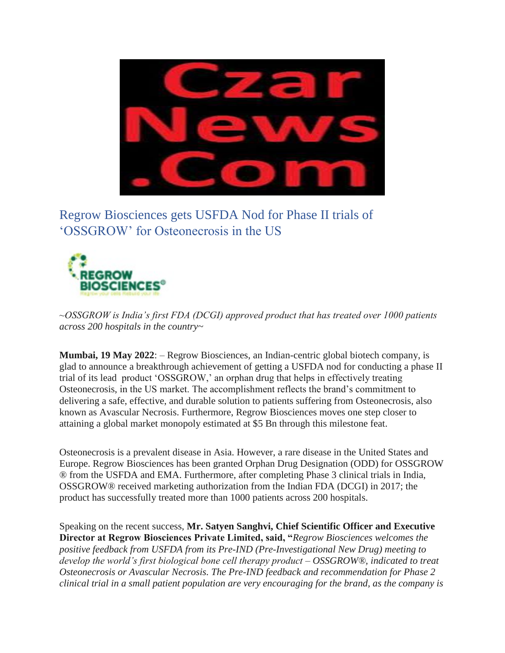

Regrow Biosciences gets USFDA Nod for Phase II trials of 'OSSGROW' for Osteonecrosis in the US



*~OSSGROW is India's first FDA (DCGI) approved product that has treated over 1000 patients across 200 hospitals in the country~*

**Mumbai, 19 May 2022**: – Regrow Biosciences, an Indian-centric global biotech company, is glad to announce a breakthrough achievement of getting a USFDA nod for conducting a phase II trial of its lead product 'OSSGROW,' an orphan drug that helps in effectively treating Osteonecrosis, in the US market. The accomplishment reflects the brand's commitment to delivering a safe, effective, and durable solution to patients suffering from Osteonecrosis, also known as Avascular Necrosis. Furthermore, Regrow Biosciences moves one step closer to attaining a global market monopoly estimated at \$5 Bn through this milestone feat.

Osteonecrosis is a prevalent disease in Asia. However, a rare disease in the United States and Europe. Regrow Biosciences has been granted Orphan Drug Designation (ODD) for OSSGROW ® from the USFDA and EMA. Furthermore, after completing Phase 3 clinical trials in India, OSSGROW® received marketing authorization from the Indian FDA (DCGI) in 2017; the product has successfully treated more than 1000 patients across 200 hospitals.

Speaking on the recent success, **Mr. Satyen Sanghvi, Chief Scientific Officer and Executive Director at Regrow Biosciences Private Limited, said, "***Regrow Biosciences welcomes the positive feedback from USFDA from its Pre-IND (Pre-Investigational New Drug) meeting to develop the world's first biological bone cell therapy product – OSSGROW®, indicated to treat Osteonecrosis or Avascular Necrosis. The Pre-IND feedback and recommendation for Phase 2 clinical trial in a small patient population are very encouraging for the brand, as the company is*